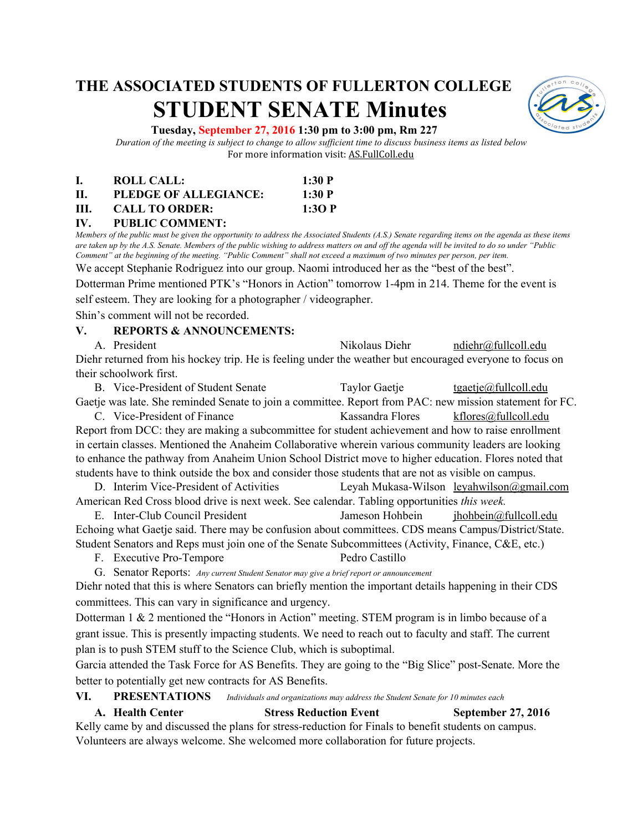# **THE ASSOCIATED STUDENTS OF FULLERTON COLLEGE STUDENT SENATE Minutes**



#### **Tuesday, September 27, 2016 1:30 pm to 3:00 pm, Rm 227**

*Duration of the meeting is subject to change to allow sufficient time to discuss business items as listed below* For more information visit: AS.FullColl.edu

|     | ROLL CALL:            | 1:30 P |
|-----|-----------------------|--------|
| Н.  | PLEDGE OF ALLEGIANCE: | 1:30 P |
| HL. | <b>CALL TO ORDER:</b> | 1:30 P |

#### **IV. PUBLIC COMMENT:**

*Members of the public must be given the opportunity to address the Associated Students (A.S.) Senate regarding items on the agenda as these items are taken up by the A.S. Senate. Members of the public wishing to address matters on and off the agenda will be invited to do so under "Public Comment" at the beginning of the meeting. "Public Comment" shall not exceed a maximum of two minutes per person, per item.*

We accept Stephanie Rodriguez into our group. Naomi introduced her as the "best of the best".

Dotterman Prime mentioned PTK's "Honors in Action" tomorrow 1-4pm in 214. Theme for the event is

self esteem. They are looking for a photographer / videographer.

Shin's comment will not be recorded.

#### **V. REPORTS & ANNOUNCEMENTS:**

A. President **A. President** Nikolaus Diehr [ndiehr@fullcoll.edu](mailto:ndiehr@fullcoll.edu) Diehr returned from his hockey trip. He is feeling under the weather but encouraged everyone to focus on their schoolwork first.

B. Vice-President of Student Senate Taylor Gaetje [tgaetje@fullcoll.edu](mailto:tgaetje@fullcoll.edu) Gaetje was late. She reminded Senate to join a committee. Report from PAC: new mission statement for FC. C. Vice-President of Finance Kassandra Flores [kflores@fullcoll.edu](mailto:kflores@fullcoll.edu) Report from DCC: they are making a subcommittee for student achievement and how to raise enrollment in certain classes. Mentioned the Anaheim Collaborative wherein various community leaders are looking to enhance the pathway from Anaheim Union School District move to higher education. Flores noted that students have to think outside the box and consider those students that are not as visible on campus.

D. Interim Vice-President of Activities Leyah Mukasa-Wilson [leyahwilson@gmail.com](mailto:leyahwilson@gmail.com) American Red Cross blood drive is next week. See calendar. Tabling opportunities *this week.*

E. Inter-Club Council President Jameson Hohbein jhohbein (ihohbein intervalledu Echoing what Gaetje said. There may be confusion about committees. CDS means Campus/District/State. Student Senators and Reps must join one of the Senate Subcommittees (Activity, Finance, C&E, etc.)

F. Executive Pro-Tempore Pedro Castillo

G. Senator Reports: *Any current Student Senator may give a brief report or announcement*

Diehr noted that this is where Senators can briefly mention the important details happening in their CDS committees. This can vary in significance and urgency.

Dotterman 1 & 2 mentioned the "Honors in Action" meeting. STEM program is in limbo because of a grant issue. This is presently impacting students. We need to reach out to faculty and staff. The current plan is to push STEM stuff to the Science Club, which is suboptimal.

Garcia attended the Task Force for AS Benefits. They are going to the "Big Slice" post-Senate. More the better to potentially get new contracts for AS Benefits.

**VI. PRESENTATIONS** *Individuals and organizations may address the Student Senate for 10 minutes each*

**A. Health Center Stress Reduction Event September 27, 2016** Kelly came by and discussed the plans for stress-reduction for Finals to benefit students on campus. Volunteers are always welcome. She welcomed more collaboration for future projects.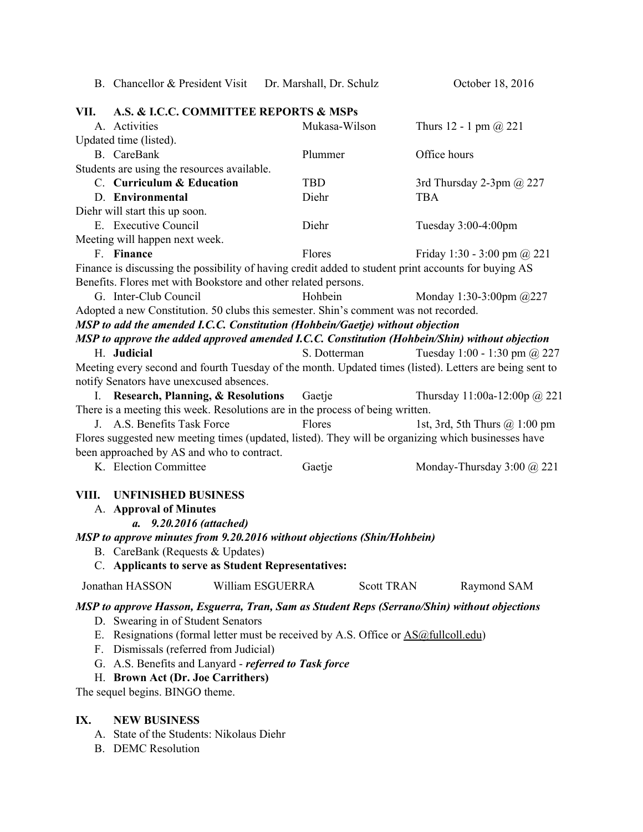|                                                                                                     | B. Chancellor & President Visit Dr. Marshall, Dr. Schulz                                |                                                                                                      | October 18, 2016                                                                                        |  |  |
|-----------------------------------------------------------------------------------------------------|-----------------------------------------------------------------------------------------|------------------------------------------------------------------------------------------------------|---------------------------------------------------------------------------------------------------------|--|--|
| VII.                                                                                                | A.S. & I.C.C. COMMITTEE REPORTS & MSPs                                                  |                                                                                                      |                                                                                                         |  |  |
|                                                                                                     | A. Activities                                                                           | Mukasa-Wilson                                                                                        | Thurs $12 - 1$ pm $@221$                                                                                |  |  |
|                                                                                                     | Updated time (listed).                                                                  |                                                                                                      |                                                                                                         |  |  |
|                                                                                                     | B. CareBank                                                                             | Plummer                                                                                              | Office hours                                                                                            |  |  |
|                                                                                                     | Students are using the resources available.                                             |                                                                                                      |                                                                                                         |  |  |
|                                                                                                     | C. Curriculum & Education                                                               | <b>TBD</b>                                                                                           | 3rd Thursday 2-3pm $\omega$ 227                                                                         |  |  |
|                                                                                                     | D. Environmental                                                                        | Diehr                                                                                                | <b>TBA</b>                                                                                              |  |  |
|                                                                                                     | Diehr will start this up soon.                                                          |                                                                                                      |                                                                                                         |  |  |
|                                                                                                     | E. Executive Council                                                                    | Diehr                                                                                                | Tuesday 3:00-4:00pm                                                                                     |  |  |
|                                                                                                     | Meeting will happen next week.                                                          |                                                                                                      |                                                                                                         |  |  |
|                                                                                                     | F. Finance                                                                              | Flores                                                                                               | Friday 1:30 - 3:00 pm @ 221                                                                             |  |  |
|                                                                                                     |                                                                                         | Finance is discussing the possibility of having credit added to student print accounts for buying AS |                                                                                                         |  |  |
|                                                                                                     | Benefits. Flores met with Bookstore and other related persons.                          |                                                                                                      |                                                                                                         |  |  |
|                                                                                                     | G. Inter-Club Council                                                                   | Hohbein                                                                                              | Monday 1:30-3:00pm @227                                                                                 |  |  |
|                                                                                                     | Adopted a new Constitution. 50 clubs this semester. Shin's comment was not recorded.    |                                                                                                      |                                                                                                         |  |  |
|                                                                                                     |                                                                                         | MSP to add the amended I.C.C. Constitution (Hohbein/Gaetje) without objection                        |                                                                                                         |  |  |
|                                                                                                     |                                                                                         | MSP to approve the added approved amended I.C.C. Constitution (Hohbein/Shin) without objection       |                                                                                                         |  |  |
|                                                                                                     | H. Judicial                                                                             | S. Dotterman                                                                                         | Tuesday 1:00 - 1:30 pm @ 227                                                                            |  |  |
|                                                                                                     |                                                                                         |                                                                                                      | Meeting every second and fourth Tuesday of the month. Updated times (listed). Letters are being sent to |  |  |
|                                                                                                     | notify Senators have unexcused absences.                                                |                                                                                                      |                                                                                                         |  |  |
|                                                                                                     | I. Research, Planning, & Resolutions<br>Gaetje<br>Thursday 11:00a-12:00p @ 221          |                                                                                                      |                                                                                                         |  |  |
| There is a meeting this week. Resolutions are in the process of being written.                      |                                                                                         |                                                                                                      |                                                                                                         |  |  |
| A.S. Benefits Task Force<br>Flores<br>1st, 3rd, 5th Thurs $@1:00$ pm<br>$\bf{J}$                    |                                                                                         |                                                                                                      |                                                                                                         |  |  |
| Flores suggested new meeting times (updated, listed). They will be organizing which businesses have |                                                                                         |                                                                                                      |                                                                                                         |  |  |
|                                                                                                     | been approached by AS and who to contract.                                              |                                                                                                      |                                                                                                         |  |  |
|                                                                                                     | K. Election Committee                                                                   | Gaetje                                                                                               | Monday-Thursday $3:00 \ (\omega\ 221)$                                                                  |  |  |
| VIII.<br><b>UNFINISHED BUSINESS</b>                                                                 |                                                                                         |                                                                                                      |                                                                                                         |  |  |
|                                                                                                     | A. Approval of Minutes                                                                  |                                                                                                      |                                                                                                         |  |  |
|                                                                                                     | 9.20.2016 (attached)<br>$\mathfrak{a}.$                                                 |                                                                                                      |                                                                                                         |  |  |
| MSP to approve minutes from 9.20.2016 without objections (Shin/Hohbein)                             |                                                                                         |                                                                                                      |                                                                                                         |  |  |
| B. CareBank (Requests & Updates)                                                                    |                                                                                         |                                                                                                      |                                                                                                         |  |  |
|                                                                                                     | C. Applicants to serve as Student Representatives:                                      |                                                                                                      |                                                                                                         |  |  |
|                                                                                                     | Jonathan HASSON                                                                         | William ESGUERRA<br><b>Scott TRAN</b>                                                                | Raymond SAM                                                                                             |  |  |
| MSP to approve Hasson, Esguerra, Tran, Sam as Student Reps (Serrano/Shin) without objections        |                                                                                         |                                                                                                      |                                                                                                         |  |  |
| D. Swearing in of Student Senators                                                                  |                                                                                         |                                                                                                      |                                                                                                         |  |  |
| Е.                                                                                                  | Resignations (formal letter must be received by A.S. Office or <b>AS@fullcoll.edu</b> ) |                                                                                                      |                                                                                                         |  |  |
|                                                                                                     | F. Dismissals (referred from Judicial)                                                  |                                                                                                      |                                                                                                         |  |  |
|                                                                                                     | G. A.S. Benefits and Lanyard - referred to Task force                                   |                                                                                                      |                                                                                                         |  |  |
|                                                                                                     | H. Brown Act (Dr. Joe Carrithers)                                                       |                                                                                                      |                                                                                                         |  |  |
|                                                                                                     | The sequel begins. BINGO theme.                                                         |                                                                                                      |                                                                                                         |  |  |
| IX.                                                                                                 | <b>NEW BUSINESS</b>                                                                     |                                                                                                      |                                                                                                         |  |  |

A. State of the Students: Nikolaus Diehr

B. DEMC Resolution